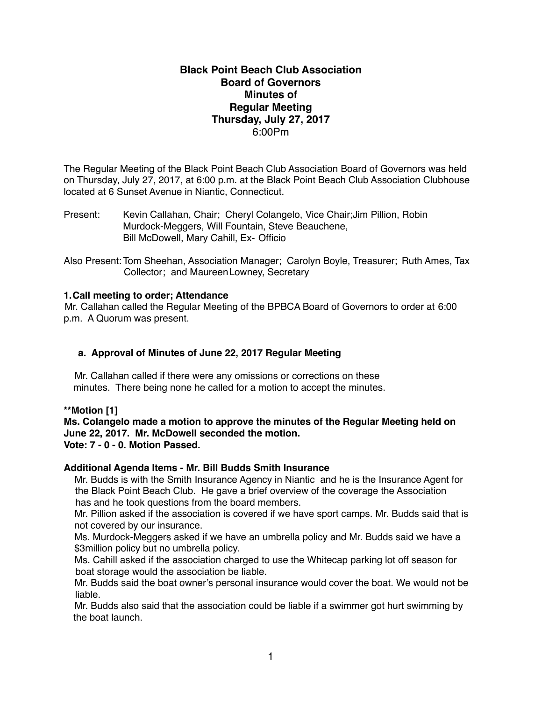# **Black Point Beach Club Association Board of Governors Minutes of Regular Meeting Thursday, July 27, 2017** 6:00Pm

The Regular Meeting of the Black Point Beach Club Association Board of Governors was held on Thursday, July 27, 2017, at 6:00 p.m. at the Black Point Beach Club Association Clubhouse located at 6 Sunset Avenue in Niantic, Connecticut.

Present: Kevin Callahan, Chair; Cheryl Colangelo, Vice Chair;Jim Pillion, Robin Murdock-Meggers, Will Fountain, Steve Beauchene, Bill McDowell, Mary Cahill, Ex- Officio

Also Present: Tom Sheehan, Association Manager; Carolyn Boyle, Treasurer; Ruth Ames, Tax Collector; and MaureenLowney, Secretary

## **1.Call meeting to order; Attendance**

Mr. Callahan called the Regular Meeting of the BPBCA Board of Governors to order at 6:00 p.m. A Quorum was present.

## **a. Approval of Minutes of June 22, 2017 Regular Meeting**

Mr. Callahan called if there were any omissions or corrections on these minutes. There being none he called for a motion to accept the minutes.

**\*\*Motion [1]**

**Ms. Colangelo made a motion to approve the minutes of the Regular Meeting held on June 22, 2017. Mr. McDowell seconded the motion. Vote: 7 - 0 - 0. Motion Passed.**

#### **Additional Agenda Items - Mr. Bill Budds Smith Insurance**

Mr. Budds is with the Smith Insurance Agency in Niantic and he is the Insurance Agent for the Black Point Beach Club. He gave a brief overview of the coverage the Association has and he took questions from the board members.

 Mr. Pillion asked if the association is covered if we have sport camps. Mr. Budds said that is not covered by our insurance.

 Ms. Murdock-Meggers asked if we have an umbrella policy and Mr. Budds said we have a \$3million policy but no umbrella policy.

 Ms. Cahill asked if the association charged to use the Whitecap parking lot off season for boat storage would the association be liable.

 Mr. Budds said the boat owner's personal insurance would cover the boat. We would not be liable.

 Mr. Budds also said that the association could be liable if a swimmer got hurt swimming by the boat launch.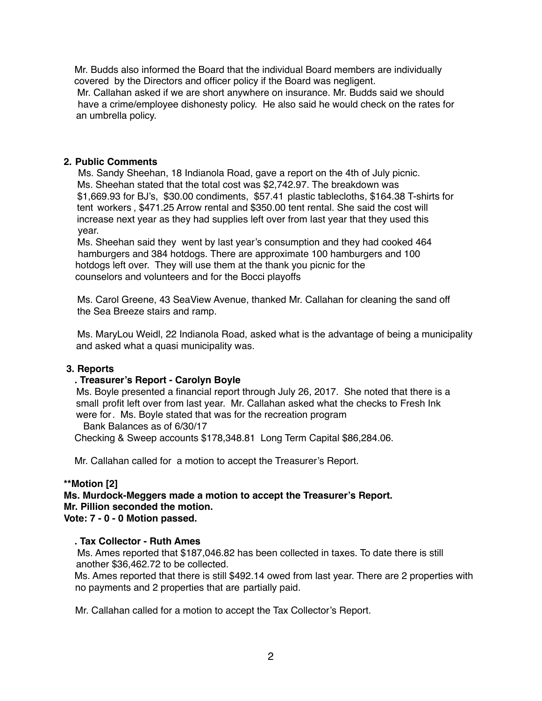Mr. Budds also informed the Board that the individual Board members are individually covered by the Directors and officer policy if the Board was negligent.

 Mr. Callahan asked if we are short anywhere on insurance. Mr. Budds said we should have a crime/employee dishonesty policy. He also said he would check on the rates for an umbrella policy.

#### **2. Public Comments**

Ms. Sandy Sheehan, 18 Indianola Road, gave a report on the 4th of July picnic. Ms. Sheehan stated that the total cost was \$2,742.97. The breakdown was \$1,669.93 for BJ's, \$30.00 condiments, \$57.41 plastic tablecloths, \$164.38 T-shirts for tent workers , \$471.25 Arrow rental and \$350.00 tent rental. She said the cost will increase next year as they had supplies left over from last year that they used this year.

 Ms. Sheehan said they went by last year's consumption and they had cooked 464 hamburgers and 384 hotdogs. There are approximate 100 hamburgers and 100 hotdogs left over. They will use them at the thank you picnic for the counselors and volunteers and for the Bocci playoffs

 Ms. Carol Greene, 43 SeaView Avenue, thanked Mr. Callahan for cleaning the sand off the Sea Breeze stairs and ramp.

 Ms. MaryLou Weidl, 22 Indianola Road, asked what is the advantage of being a municipality and asked what a quasi municipality was.

#### **3. Reports**

#### **. Treasurer's Report - Carolyn Boyle**

Ms. Boyle presented a financial report through July 26, 2017. She noted that there is a small profit left over from last year. Mr. Callahan asked what the checks to Fresh Ink were for. Ms. Boyle stated that was for the recreation program Bank Balances as of 6/30/17

Checking & Sweep accounts \$178,348.81 Long Term Capital \$86,284.06.

Mr. Callahan called for a motion to accept the Treasurer's Report.

#### **\*\*Motion [2]**

**Ms. Murdock-Meggers made a motion to accept the Treasurer's Report. Mr. Pillion seconded the motion. Vote: 7 - 0 - 0 Motion passed.**

#### **. Tax Collector - Ruth Ames**

Ms. Ames reported that \$187,046.82 has been collected in taxes. To date there is still another \$36,462.72 to be collected.

Ms. Ames reported that there is still \$492.14 owed from last year. There are 2 properties with no payments and 2 properties that are partially paid.

Mr. Callahan called for a motion to accept the Tax Collector's Report.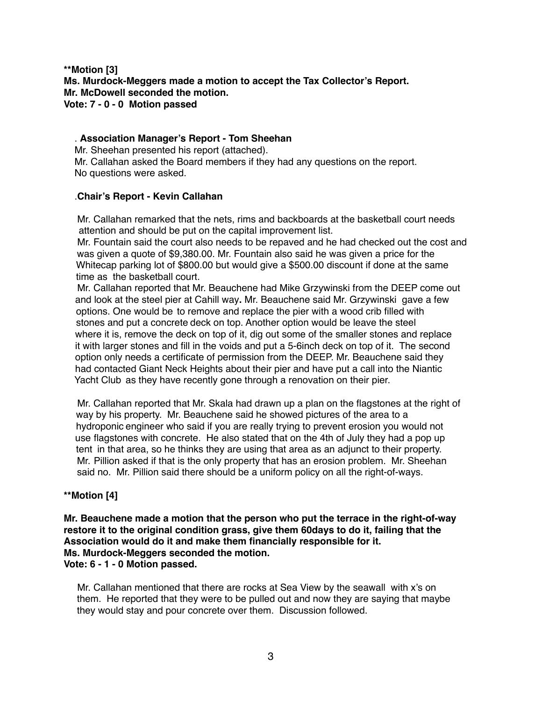## **\*\*Motion [3] Ms. Murdock-Meggers made a motion to accept the Tax Collector's Report. Mr. McDowell seconded the motion. Vote: 7 - 0 - 0 Motion passed**

## . **Association Manager's Report - Tom Sheehan**

Mr. Sheehan presented his report (attached). Mr. Callahan asked the Board members if they had any questions on the report. No questions were asked.

## .**Chair's Report - Kevin Callahan**

Mr. Callahan remarked that the nets, rims and backboards at the basketball court needs attention and should be put on the capital improvement list.

 Mr. Fountain said the court also needs to be repaved and he had checked out the cost and was given a quote of \$9,380.00. Mr. Fountain also said he was given a price for the Whitecap parking lot of \$800.00 but would give a \$500.00 discount if done at the same time as the basketball court.

 Mr. Callahan reported that Mr. Beauchene had Mike Grzywinski from the DEEP come out and look at the steel pier at Cahill way**.** Mr. Beauchene said Mr. Grzywinskigave a few options. One would be to remove and replace the pier with a wood crib filled with stones and put a concrete deck on top. Another option would be leave the steel where it is, remove the deck on top of it, dig out some of the smaller stones and replace it with larger stones and fill in the voids and put a 5-6inch deck on top of it. The second option only needs a certificate of permission from the DEEP. Mr. Beauchene said they had contacted Giant Neck Heights about their pier and have put a call into the Niantic Yacht Club as they have recently gone through a renovation on their pier.

 Mr. Callahan reported that Mr. Skala had drawn up a plan on the flagstones at the right of way by his property. Mr. Beauchene said he showed pictures of the area to a hydroponic engineer who said if you are really trying to prevent erosion you would not use flagstones with concrete. He also stated that on the 4th of July they had a pop up tent in that area, so he thinks they are using that area as an adjunct to their property. Mr. Pillion asked if that is the only property that has an erosion problem. Mr. Sheehan said no. Mr. Pillion said there should be a uniform policy on all the right-of-ways.

# **\*\*Motion [4]**

**Mr. Beauchene made a motion that the person who put the terrace in the right-of-way restore it to the original condition grass, give them 60days to do it, failing that the Association would do it and make them financially responsible for it. Ms. Murdock-Meggers seconded the motion. Vote: 6 - 1 - 0 Motion passed.**

Mr. Callahan mentioned that there are rocks at Sea View by the seawall with x's on them. He reported that they were to be pulled out and now they are saying that maybe they would stay and pour concrete over them. Discussion followed.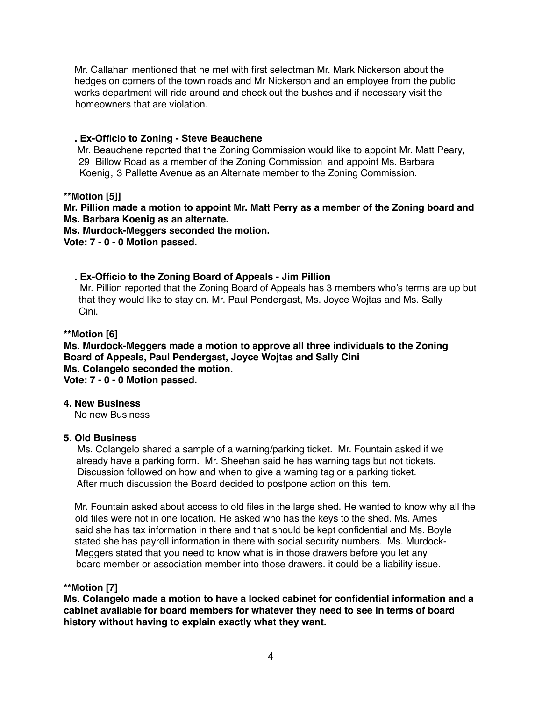Mr. Callahan mentioned that he met with first selectman Mr. Mark Nickerson about the hedges on corners of the town roads and Mr Nickerson and an employee from the public works department will ride around and check out the bushes and if necessary visit the homeowners that are violation.

## **. Ex-Officio to Zoning - Steve Beauchene**

 Mr. Beauchene reported that the Zoning Commission would like to appoint Mr. Matt Peary, 29 Billow Road as a member of the Zoning Commission and appoint Ms. Barbara Koenig, 3 Pallette Avenue as an Alternate member to the Zoning Commission.

## **\*\*Motion [5]]**

**Mr. Pillion made a motion to appoint Mr. Matt Perry as a member of the Zoning board and Ms. Barbara Koenig as an alternate.**

**Ms. Murdock-Meggers seconded the motion.**

**Vote: 7 - 0 - 0 Motion passed.**

 **. Ex-Officio to the Zoning Board of Appeals - Jim Pillion** Mr. Pillion reported that the Zoning Board of Appeals has 3 members who's terms are up but that they would like to stay on. Mr. Paul Pendergast, Ms. Joyce Wojtas and Ms. Sally Cini.

## **\*\*Motion [6]**

**Ms. Murdock-Meggers made a motion to approve all three individuals to the Zoning Board of Appeals, Paul Pendergast, Joyce Wojtas and Sally Cini Ms. Colangelo seconded the motion. Vote: 7 - 0 - 0 Motion passed.**

#### **4. New Business**

No new Business

## **5. Old Business**

Ms. Colangelo shared a sample of a warning/parking ticket. Mr. Fountain asked if we already have a parking form. Mr. Sheehan said he has warning tags but not tickets. Discussion followed on how and when to give a warning tag or a parking ticket. After much discussion the Board decided to postpone action on this item.

 Mr. Fountain asked about access to old files in the large shed. He wanted to know why all the old files were not in one location. He asked who has the keys to the shed. Ms. Ames said she has tax information in there and that should be kept confidential and Ms. Boyle stated she has payroll information in there with social security numbers. Ms. Murdock-Meggers stated that you need to know what is in those drawers before you let any board member or association member into those drawers. it could be a liability issue.

## **\*\*Motion [7]**

**Ms. Colangelo made a motion to have a locked cabinet for confidential information and a cabinet available for board members for whatever they need to see in terms of board history without having to explain exactly what they want.**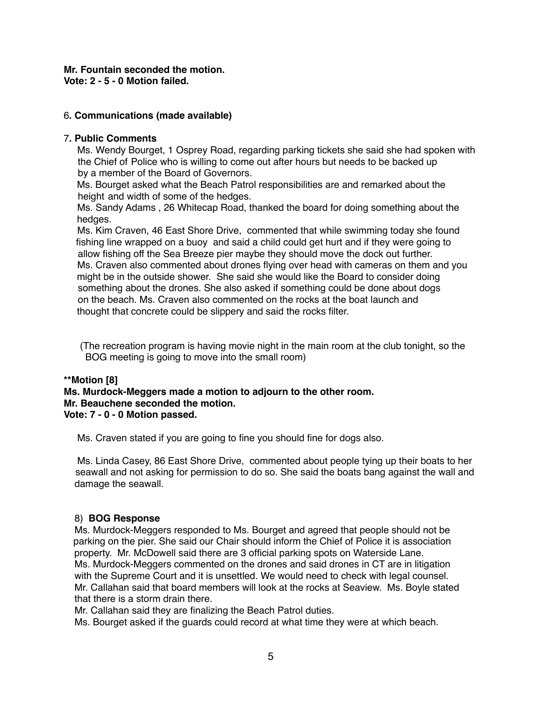# **Mr. Fountain seconded the motion.**

**Vote: 2 - 5 - 0 Motion failed.**

## 6**. Communications (made available)**

## 7**. Public Comments**

Ms. Wendy Bourget, 1 Osprey Road, regarding parking tickets she said she had spoken with the Chief of Police who is willing to come out after hours but needs to be backed up by a member of the Board of Governors.

 Ms. Bourget asked what the Beach Patrol responsibilities are and remarked about the height and width of some of the hedges.

 Ms. Sandy Adams , 26 Whitecap Road, thanked the board for doing something about the hedges.

 Ms. Kim Craven, 46 East Shore Drive, commented that while swimming today she found fishing line wrapped on a buoy and said a child could get hurt and if they were going to allow fishing off the Sea Breeze pier maybe they should move the dock out further. Ms. Craven also commented about drones flying over head with cameras on them and you might be in the outside shower. She said she would like the Board to consider doing something about the drones. She also asked if something could be done about dogs on the beach. Ms. Craven also commented on the rocks at the boat launch and thought that concrete could be slippery and said the rocks filter.

 (The recreation program is having movie night in the main room at the club tonight, so the BOG meeting is going to move into the small room)

# **\*\*Motion [8]**

#### **Ms. Murdock-Meggers made a motion to adjourn to the other room. Mr. Beauchene seconded the motion. Vote: 7 - 0 - 0 Motion passed.**

Ms. Craven stated if you are going to fine you should fine for dogs also.

 Ms. Linda Casey, 86 East Shore Drive, commented about people tying up their boats to her seawall and not asking for permission to do so. She said the boats bang against the wall and damage the seawall.

## 8) **BOG Response**

Ms. Murdock-Meggers responded to Ms. Bourget and agreed that people should not be parking on the pier. She said our Chair should inform the Chief of Police it is association property. Mr. McDowell said there are 3 official parking spots on Waterside Lane. Ms. Murdock-Meggers commented on the drones and said drones in CT are in litigation with the Supreme Court and it is unsettled. We would need to check with legal counsel. Mr. Callahan said that board members will look at the rocks at Seaview. Ms. Boyle stated that there is a storm drain there.

Mr. Callahan said they are finalizing the Beach Patrol duties.

Ms. Bourget asked if the guards could record at what time they were at which beach.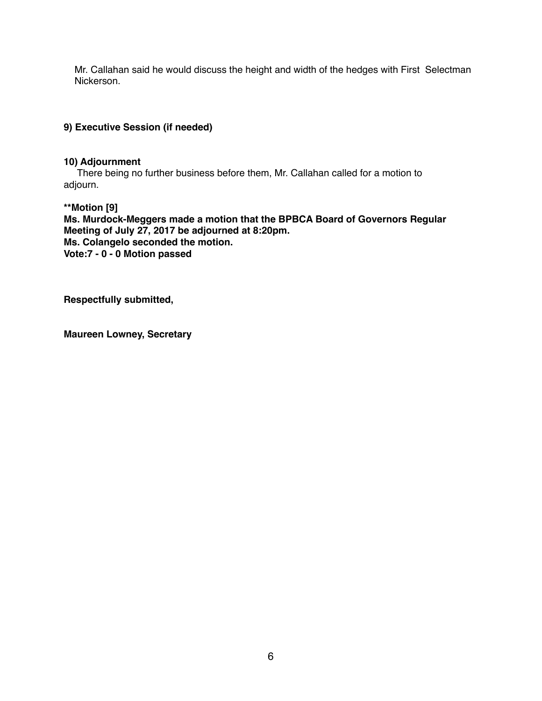Mr. Callahan said he would discuss the height and width of the hedges with First Selectman Nickerson.

## **9) Executive Session (if needed)**

#### **10) Adjournment**

There being no further business before them, Mr. Callahan called for a motion to adjourn.

**\*\*Motion [9] Ms. Murdock-Meggers made a motion that the BPBCA Board of Governors Regular Meeting of July 27, 2017 be adjourned at 8:20pm. Ms. Colangelo seconded the motion. Vote:7 - 0 - 0 Motion passed**

**Respectfully submitted,**

**Maureen Lowney, Secretary**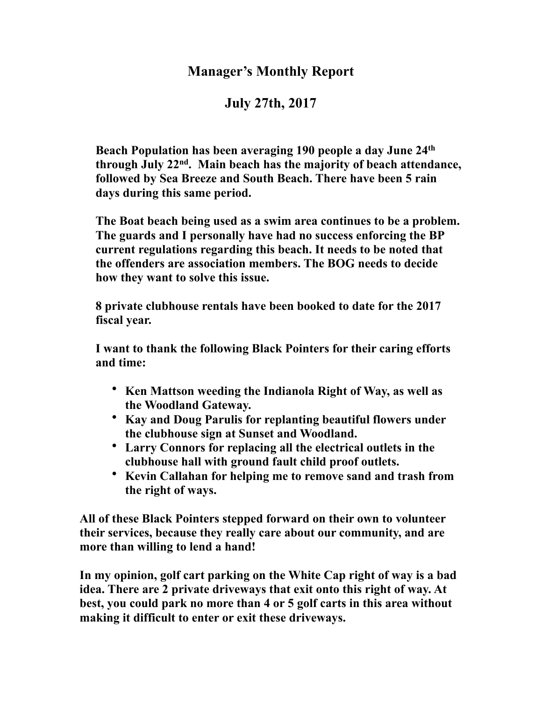# **Manager's Monthly Report**

# **July 27th, 2017**

**Beach Population has been averaging 190 people a day June 24th through July 22nd. Main beach has the majority of beach attendance, followed by Sea Breeze and South Beach. There have been 5 rain days during this same period.**

**The Boat beach being used as a swim area continues to be a problem. The guards and I personally have had no success enforcing the BP current regulations regarding this beach. It needs to be noted that the offenders are association members. The BOG needs to decide how they want to solve this issue.**

**8 private clubhouse rentals have been booked to date for the 2017 fiscal year.**

**I want to thank the following Black Pointers for their caring efforts and time:**

- **Ken Mattson weeding the Indianola Right of Way, as well as the Woodland Gateway.**
- **Kay and Doug Parulis for replanting beautiful flowers under the clubhouse sign at Sunset and Woodland.**
- **Larry Connors for replacing all the electrical outlets in the clubhouse hall with ground fault child proof outlets.**
- **Kevin Callahan for helping me to remove sand and trash from the right of ways.**

**All of these Black Pointers stepped forward on their own to volunteer their services, because they really care about our community, and are more than willing to lend a hand!**

**In my opinion, golf cart parking on the White Cap right of way is a bad idea. There are 2 private driveways that exit onto this right of way. At best, you could park no more than 4 or 5 golf carts in this area without making it difficult to enter or exit these driveways.**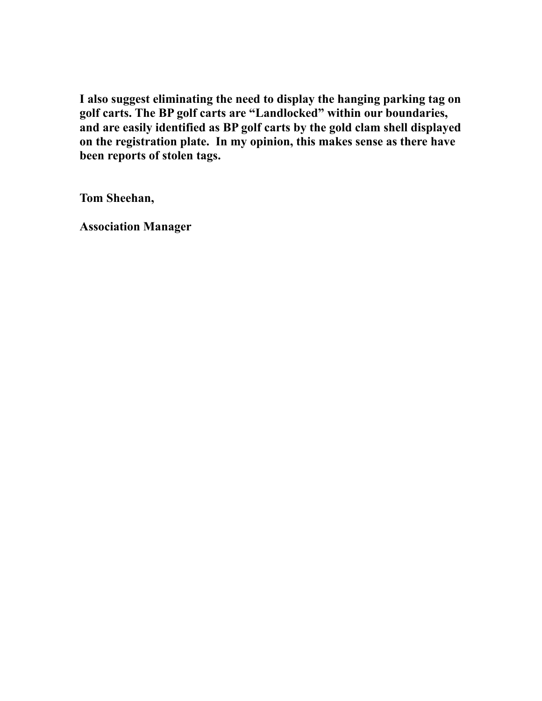**I also suggest eliminating the need to display the hanging parking tag on golf carts. The BP golf carts are "Landlocked" within our boundaries, and are easily identified as BP golf carts by the gold clam shell displayed on the registration plate. In my opinion, this makes sense as there have been reports of stolen tags.**

**Tom Sheehan,**

**Association Manager**